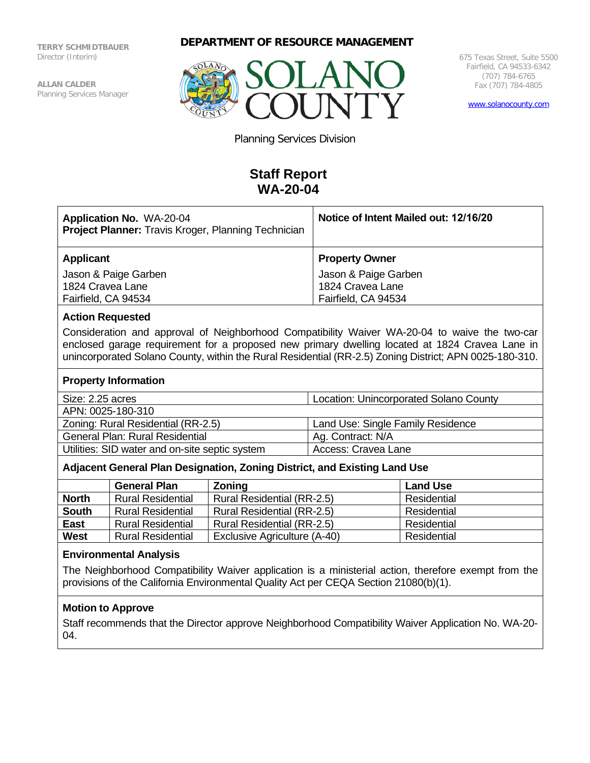**TERRY SCHMIDTBAUER** Director (Interim)

**ALLAN CALDER** Planning Services Manager





675 Texas Street, Suite 5500 Fairfield, CA 94533-6342 (707) 784-6765 Fax (707) 784-4805

[www.solanocounty.com](http://www.solanocounty.com/)

Planning Services Division

# **Staff Report WA-20-04**

| <b>Application No. WA-20-04</b><br><b>Project Planner:</b> Travis Kroger, Planning Technician | Notice of Intent Mailed out: 12/16/20 |  |
|-----------------------------------------------------------------------------------------------|---------------------------------------|--|
| Applicant                                                                                     | <b>Property Owner</b>                 |  |
| Jason & Paige Garben                                                                          | Jason & Paige Garben                  |  |
| 1824 Cravea Lane                                                                              | 1824 Cravea Lane                      |  |
| Fairfield, CA 94534                                                                           | Fairfield, CA 94534                   |  |

#### **Action Requested**

Consideration and approval of Neighborhood Compatibility Waiver WA-20-04 to waive the two-car enclosed garage requirement for a proposed new primary dwelling located at 1824 Cravea Lane in unincorporated Solano County, within the Rural Residential (RR-2.5) Zoning District; APN 0025-180-310.

#### **Property Information**

| Size: 2.25 acres | Location: Unincorporated Solano County |
|------------------|----------------------------------------|

APN: 0025-180-310

Zoning: Rural Residential (RR-2.5) Land Use: Single Family Residence General Plan: Rural Residential Ag. Contract: N/A Utilities: SID water and on-site septic system | Access: Cravea Lane

## **Adjacent General Plan Designation, Zoning District, and Existing Land Use**

|              | <b>General Plan</b>      | Zoning                       | <b>Land Use</b> |
|--------------|--------------------------|------------------------------|-----------------|
| <b>North</b> | <b>Rural Residential</b> | Rural Residential (RR-2.5)   | Residential     |
| <b>South</b> | <b>Rural Residential</b> | Rural Residential (RR-2.5)   | Residential     |
| <b>East</b>  | <b>Rural Residential</b> | Rural Residential (RR-2.5)   | Residential     |
| <b>West</b>  | <b>Rural Residential</b> | Exclusive Agriculture (A-40) | Residential     |

#### **Environmental Analysis**

The Neighborhood Compatibility Waiver application is a ministerial action, therefore exempt from the provisions of the California Environmental Quality Act per CEQA Section 21080(b)(1).

## **Motion to Approve**

Staff recommends that the Director approve Neighborhood Compatibility Waiver Application No. WA-20- 04.